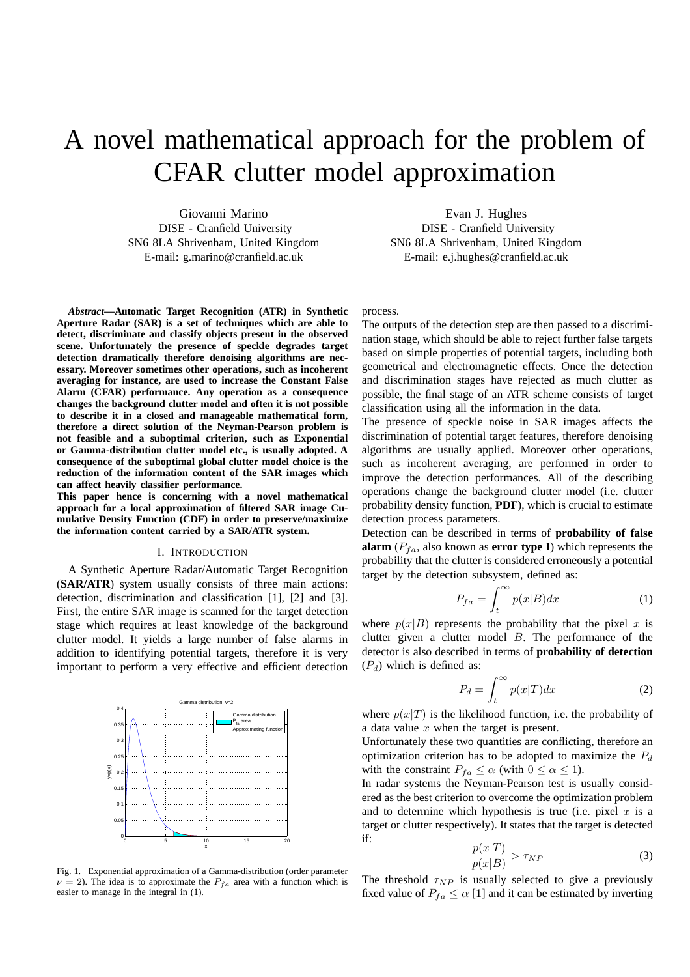# A novel mathematical approach for the problem of CFAR clutter model approximation

Giovanni Marino DISE - Cranfield University SN6 8LA Shrivenham, United Kingdom E-mail: g.marino@cranfield.ac.uk

*Abstract***—Automatic Target Recognition (ATR) in Synthetic Aperture Radar (SAR) is a set of techniques which are able to detect, discriminate and classify objects present in the observed scene. Unfortunately the presence of speckle degrades target detection dramatically therefore denoising algorithms are necessary. Moreover sometimes other operations, such as incoherent averaging for instance, are used to increase the Constant False Alarm (CFAR) performance. Any operation as a consequence changes the background clutter model and often it is not possible to describe it in a closed and manageable mathematical form, therefore a direct solution of the Neyman-Pearson problem is not feasible and a suboptimal criterion, such as Exponential or Gamma-distribution clutter model etc., is usually adopted. A consequence of the suboptimal global clutter model choice is the reduction of the information content of the SAR images which can affect heavily classifier performance.**

**This paper hence is concerning with a novel mathematical approach for a local approximation of filtered SAR image Cumulative Density Function (CDF) in order to preserve/maximize the information content carried by a SAR/ATR system.**

#### I. INTRODUCTION

A Synthetic Aperture Radar/Automatic Target Recognition (**SAR/ATR**) system usually consists of three main actions: detection, discrimination and classification [1], [2] and [3]. First, the entire SAR image is scanned for the target detection stage which requires at least knowledge of the background clutter model. It yields a large number of false alarms in addition to identifying potential targets, therefore it is very important to perform a very effective and efficient detection



Fig. 1. Exponential approximation of a Gamma-distribution (order parameter  $\nu = 2$ ). The idea is to approximate the  $P_{fa}$  area with a function which is easier to manage in the integral in (1).

Evan J. Hughes DISE - Cranfield University SN6 8LA Shrivenham, United Kingdom E-mail: e.j.hughes@cranfield.ac.uk

### process.

The outputs of the detection step are then passed to a discrimination stage, which should be able to reject further false targets based on simple properties of potential targets, including both geometrical and electromagnetic effects. Once the detection and discrimination stages have rejected as much clutter as possible, the final stage of an ATR scheme consists of target classification using all the information in the data.

The presence of speckle noise in SAR images affects the discrimination of potential target features, therefore denoising algorithms are usually applied. Moreover other operations, such as incoherent averaging, are performed in order to improve the detection performances. All of the describing operations change the background clutter model (i.e. clutter probability density function, **PDF**), which is crucial to estimate detection process parameters.

Detection can be described in terms of **probability of false alarm** ( $P_{fa}$ , also known as **error type I**) which represents the probability that the clutter is considered erroneously a potential target by the detection subsystem, defined as:

$$
P_{fa} = \int_{t}^{\infty} p(x|B)dx
$$
 (1)

where  $p(x|B)$  represents the probability that the pixel x is clutter given a clutter model B. The performance of the detector is also described in terms of **probability of detection**  $(P_d)$  which is defined as:

$$
P_d = \int_t^{\infty} p(x|T)dx
$$
 (2)

where  $p(x|T)$  is the likelihood function, i.e. the probability of a data value  $x$  when the target is present.

Unfortunately these two quantities are conflicting, therefore an optimization criterion has to be adopted to maximize the  $P_d$ with the constraint  $P_{fa} \le \alpha$  (with  $0 \le \alpha \le 1$ ).

In radar systems the Neyman-Pearson test is usually considered as the best criterion to overcome the optimization problem and to determine which hypothesis is true (i.e. pixel  $x$  is a target or clutter respectively). It states that the target is detected if:

$$
\frac{p(x|T)}{p(x|B)} > \tau_{NP} \tag{3}
$$

The threshold  $\tau_{NP}$  is usually selected to give a previously fixed value of  $P_{fa} \leq \alpha$  [1] and it can be estimated by inverting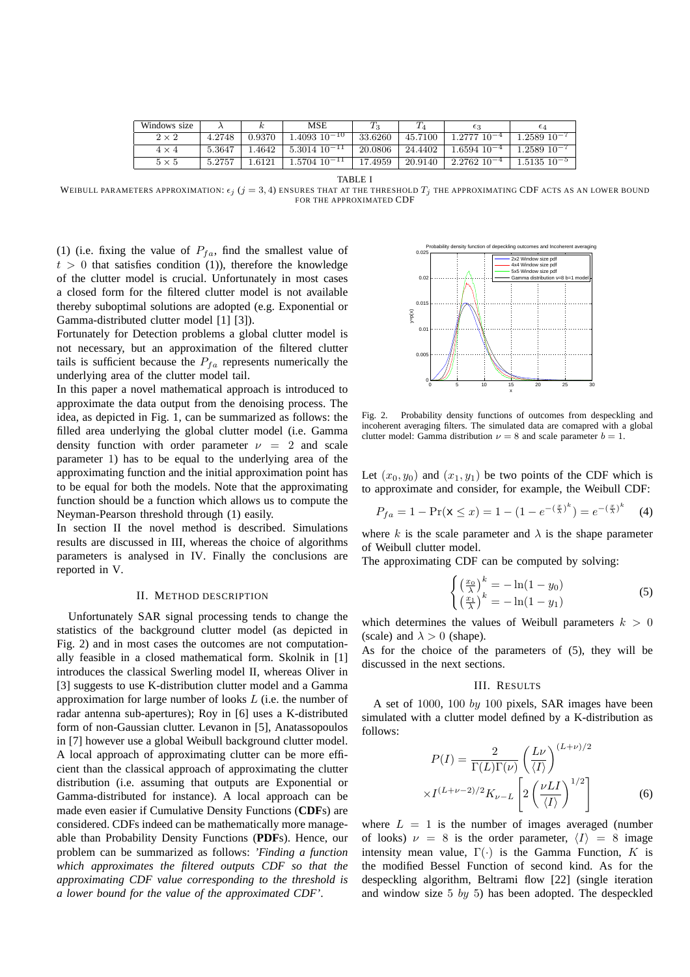| Windows size |        |        | MSE                 |         |         | $\epsilon_3$       | $\epsilon_4$       |
|--------------|--------|--------|---------------------|---------|---------|--------------------|--------------------|
| $2 \times 2$ | 4.2748 | 0.9370 | $1.4093$ $10^{-10}$ | 33.6260 | 45.7100 | $1.277710^{-4}$    | $1.2589$ $10^{-7}$ |
| $4 \times 4$ | 5.3647 | 1.4642 | $5.3014$ $10^{-11}$ | 20.0806 | 24.4402 | $1.6594$ $10^{-4}$ | $1.2589$ $10^{-7}$ |
| $5 \times 5$ | 5.2757 | 1.6121 | $1.5704$ $10^{-11}$ | 17.4959 | 20.9140 | $2.2762$ $10^{-4}$ | $1.5135$ $10^{-5}$ |

TABLE I

WEIBULL PARAMETERS APPROXIMATION:  $\epsilon_j$  ( $j=3,4$ ) ENSURES THAT AT THE THRESHOLD  $T_j$  THE APPROXIMATING CDF ACTS AS AN LOWER BOUND FOR THE APPROXIMATED CDF

(1) (i.e. fixing the value of  $P_{fa}$ , find the smallest value of  $t > 0$  that satisfies condition (1)), therefore the knowledge of the clutter model is crucial. Unfortunately in most cases a closed form for the filtered clutter model is not available thereby suboptimal solutions are adopted (e.g. Exponential or Gamma-distributed clutter model [1] [3]).

Fortunately for Detection problems a global clutter model is not necessary, but an approximation of the filtered clutter tails is sufficient because the  $P_{fa}$  represents numerically the underlying area of the clutter model tail.

In this paper a novel mathematical approach is introduced to approximate the data output from the denoising process. The idea, as depicted in Fig. 1, can be summarized as follows: the filled area underlying the global clutter model (i.e. Gamma density function with order parameter  $\nu = 2$  and scale parameter 1) has to be equal to the underlying area of the approximating function and the initial approximation point has to be equal for both the models. Note that the approximating function should be a function which allows us to compute the Neyman-Pearson threshold through (1) easily.

In section II the novel method is described. Simulations results are discussed in III, whereas the choice of algorithms parameters is analysed in IV. Finally the conclusions are reported in V.

## II. METHOD DESCRIPTION

Unfortunately SAR signal processing tends to change the statistics of the background clutter model (as depicted in Fig. 2) and in most cases the outcomes are not computationally feasible in a closed mathematical form. Skolnik in [1] introduces the classical Swerling model II, whereas Oliver in [3] suggests to use K-distribution clutter model and a Gamma approximation for large number of looks L (i.e. the number of radar antenna sub-apertures); Roy in [6] uses a K-distributed form of non-Gaussian clutter. Levanon in [5], Anatassopoulos in [7] however use a global Weibull background clutter model. A local approach of approximating clutter can be more efficient than the classical approach of approximating the clutter distribution (i.e. assuming that outputs are Exponential or Gamma-distributed for instance). A local approach can be made even easier if Cumulative Density Functions (**CDF**s) are considered. CDFs indeed can be mathematically more manageable than Probability Density Functions (**PDF**s). Hence, our problem can be summarized as follows: *'Finding a function which approximates the filtered outputs CDF so that the approximating CDF value corresponding to the threshold is a lower bound for the value of the approximated CDF'*.



Fig. 2. Probability density functions of outcomes from despeckling and incoherent averaging filters. The simulated data are comapred with a global clutter model: Gamma distribution  $\nu = 8$  and scale parameter  $b = 1$ .

Let  $(x_0, y_0)$  and  $(x_1, y_1)$  be two points of the CDF which is to approximate and consider, for example, the Weibull CDF:

$$
P_{fa} = 1 - \Pr(\mathbf{x} \le x) = 1 - (1 - e^{-(\frac{x}{\lambda})^k}) = e^{-(\frac{x}{\lambda})^k} \tag{4}
$$

where k is the scale parameter and  $\lambda$  is the shape parameter of Weibull clutter model.

The approximating CDF can be computed by solving:

$$
\begin{cases}\n\left(\frac{x_0}{\lambda}\right)^k = -\ln(1 - y_0) \\
\left(\frac{x_1}{\lambda}\right)^k = -\ln(1 - y_1)\n\end{cases}
$$
\n(5)

which determines the values of Weibull parameters  $k > 0$ (scale) and  $\lambda > 0$  (shape).

As for the choice of the parameters of (5), they will be discussed in the next sections.

# III. RESULTS

A set of 1000, 100 by 100 pixels, SAR images have been simulated with a clutter model defined by a K-distribution as follows:

$$
P(I) = \frac{2}{\Gamma(L)\Gamma(\nu)} \left(\frac{L\nu}{\langle I\rangle}\right)^{(L+\nu)/2}
$$

$$
\times I^{(L+\nu-2)/2} K_{\nu-L} \left[2\left(\frac{\nu L I}{\langle I\rangle}\right)^{1/2}\right]
$$
(6)

where  $L = 1$  is the number of images averaged (number of looks)  $\nu = 8$  is the order parameter,  $\langle I \rangle = 8$  image intensity mean value,  $\Gamma(\cdot)$  is the Gamma Function, K is the modified Bessel Function of second kind. As for the despeckling algorithm, Beltrami flow [22] (single iteration and window size 5 by 5) has been adopted. The despeckled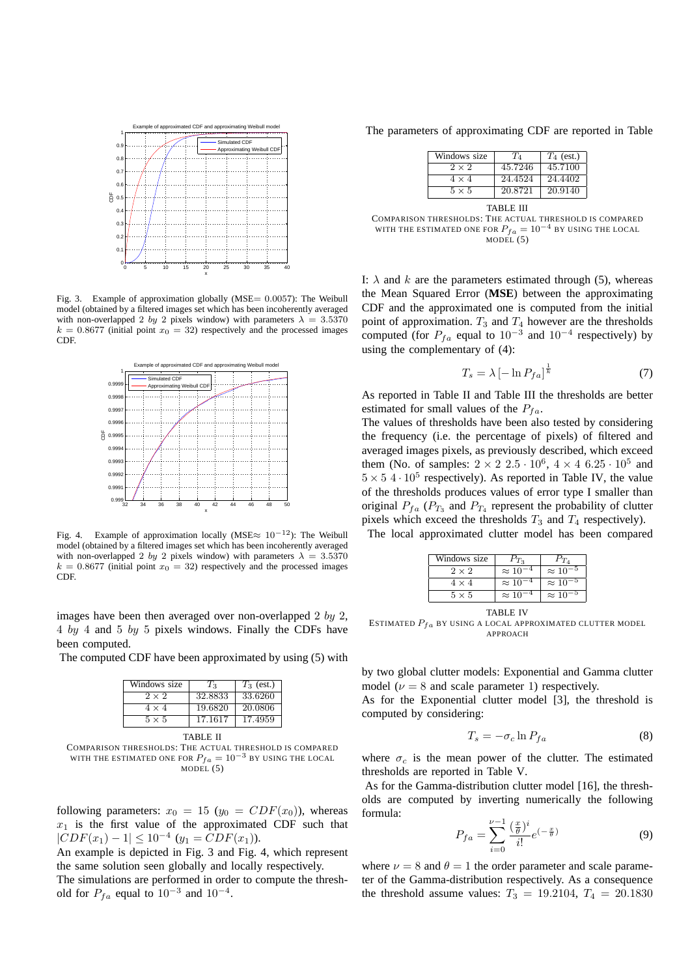

Fig. 3. Example of approximation globally (MSE= 0.0057): The Weibull model (obtained by a filtered images set which has been incoherently averaged with non-overlapped 2 by 2 pixels window) with parameters  $\lambda = 3.5370$  $k = 0.8677$  (initial point  $x_0 = 32$ ) respectively and the processed images CDF.



Fig. 4. Example of approximation locally (MSE≈ 10−12): The Weibull model (obtained by a filtered images set which has been incoherently averaged with non-overlapped 2 by 2 pixels window) with parameters  $\lambda = 3.5370$  $k = 0.8677$  (initial point  $x_0 = 32$ ) respectively and the processed images CDF.

images have been then averaged over non-overlapped 2 by 2, 4 by 4 and 5 by 5 pixels windows. Finally the CDFs have been computed.

The computed CDF have been approximated by using (5) with

| Windows size | $T_3$   | $T_3$ (est.) |
|--------------|---------|--------------|
| $2 \times 2$ | 32.8833 | 33.6260      |
| $4 \times 4$ | 19.6820 | 20.0806      |
| $5 \times 5$ | 17.1617 | 17.4959      |

TABLE II COMPARISON THRESHOLDS: THE ACTUAL THRESHOLD IS COMPARED WITH THE ESTIMATED ONE FOR  $P_{fa} = 10^{-3}$  BY USING THE LOCAL  $MODEL(5)$ 

following parameters:  $x_0 = 15$  ( $y_0 = CDF(x_0)$ ), whereas  $x_1$  is the first value of the approximated CDF such that  $|CDF(x_1) - 1| \leq 10^{-4}$   $(y_1 = CDF(x_1)).$ 

An example is depicted in Fig. 3 and Fig. 4, which represent the same solution seen globally and locally respectively.

The simulations are performed in order to compute the threshold for  $P_{fa}$  equal to  $10^{-3}$  and  $10^{-4}$ .

The parameters of approximating CDF are reported in Table

| Windows size | $T_A$   | $T_4$ (est.) |
|--------------|---------|--------------|
| $2 \times 2$ | 45.7246 | 45.7100      |
| $4 \times 4$ | 24.4524 | 24.4402      |
| $5 \times 5$ | 20.8721 | 20.9140      |

TABLE III COMPARISON THRESHOLDS: THE ACTUAL THRESHOLD IS COMPARED WITH THE ESTIMATED ONE FOR  $P_{fa} = 10^{-4}$  BY USING THE LOCAL MODEL (5)

I:  $\lambda$  and k are the parameters estimated through (5), whereas the Mean Squared Error (**MSE**) between the approximating CDF and the approximated one is computed from the initial point of approximation.  $T_3$  and  $T_4$  however are the thresholds computed (for  $P_{fa}$  equal to  $10^{-3}$  and  $10^{-4}$  respectively) by using the complementary of (4):

$$
T_s = \lambda \left[ -\ln P_{fa} \right]^{\frac{1}{k}} \tag{7}
$$

As reported in Table II and Table III the thresholds are better estimated for small values of the  $P_{fa}$ .

The values of thresholds have been also tested by considering the frequency (i.e. the percentage of pixels) of filtered and averaged images pixels, as previously described, which exceed them (No. of samples:  $2 \times 2 \times 2 \times 5 \cdot 10^6$ ,  $4 \times 4 \times 6 \times 25 \cdot 10^5$  and  $5 \times 5.4 \cdot 10^5$  respectively). As reported in Table IV, the value of the thresholds produces values of error type I smaller than original  $P_{fa}$  ( $P_{T_3}$  and  $P_{T_4}$  represent the probability of clutter pixels which exceed the thresholds  $T_3$  and  $T_4$  respectively).

The local approximated clutter model has been compared

| Windows size | $D_{T_2}$        | $P_{T_A}$         |
|--------------|------------------|-------------------|
| $2 \times 2$ | $\approx 10$     | $\approx 10$      |
| 4 × 4        | $\approx 10^{-}$ | $\approx 10^{-5}$ |
| $5 \times 5$ | $\approx$ 10     | $\approx 10$      |

TABLE IV

ESTIMATED  $P_{fa}$  BY USING A LOCAL APPROXIMATED CLUTTER MODEL APPROACH

by two global clutter models: Exponential and Gamma clutter model ( $\nu = 8$  and scale parameter 1) respectively.

As for the Exponential clutter model [3], the threshold is computed by considering:

$$
T_s = -\sigma_c \ln P_{fa} \tag{8}
$$

where  $\sigma_c$  is the mean power of the clutter. The estimated thresholds are reported in Table V.

As for the Gamma-distribution clutter model [16], the thresholds are computed by inverting numerically the following formula:

$$
P_{fa} = \sum_{i=0}^{\nu-1} \frac{\left(\frac{x}{\theta}\right)^i}{i!} e^{\left(-\frac{x}{\theta}\right)} \tag{9}
$$

where  $\nu = 8$  and  $\theta = 1$  the order parameter and scale parameter of the Gamma-distribution respectively. As a consequence the threshold assume values:  $T_3 = 19.2104, T_4 = 20.1830$